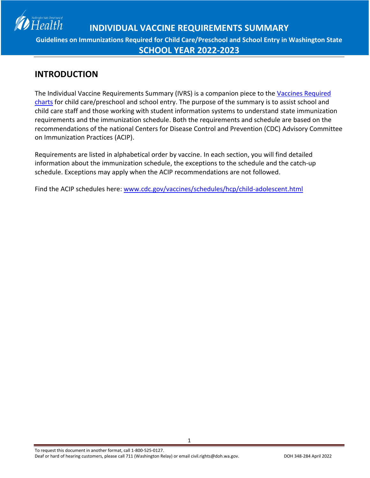

### **INTRODUCTION**

The Individual Vaccine Requirements Summary (IVRS) is a companion piece to the [Vaccines Required](http://www.doh.wa.gov/CommunityandEnvironment/Schools/Immunization/VaccineRequirements.aspx)  [charts](http://www.doh.wa.gov/CommunityandEnvironment/Schools/Immunization/VaccineRequirements.aspx) for child care/preschool and school entry. The purpose of the summary is to assist school and child care staff and those working with student information systems to understand state immunization requirements and the immunization schedule. Both the requirements and schedule are based on the recommendations of the national Centers for Disease Control and Prevention (CDC) Advisory Committee on Immunization Practices (ACIP).

Requirements are listed in alphabetical order by vaccine. In each section, you will find detailed information about the immunization schedule, the exceptions to the schedule and the catch-up schedule. Exceptions may apply when the ACIP recommendations are not followed.

Find the ACIP schedules here: [www.cdc.gov/vaccines/schedules/hcp/child-adolescent.html](http://www.cdc.gov/vaccines/schedules/hcp/child-adolescent.html)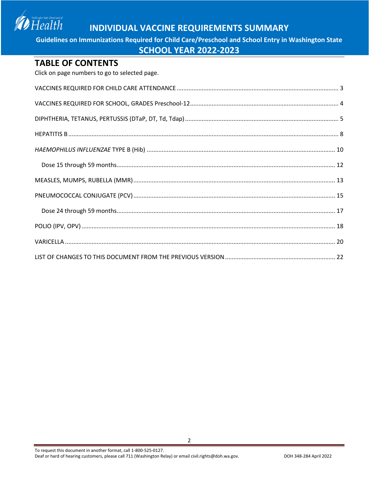Washington State Department of  $Health$ 

### **INDIVIDUAL VACCINE REQUIREMENTS SUMMARY**

**Guidelines on Immunizations Required for Child Care/Preschool and School Entry in Washington State**

#### **SCHOOL YEAR 2022-2023**

#### **TABLE OF CONTENTS**

Click on page numbers to go to selected page.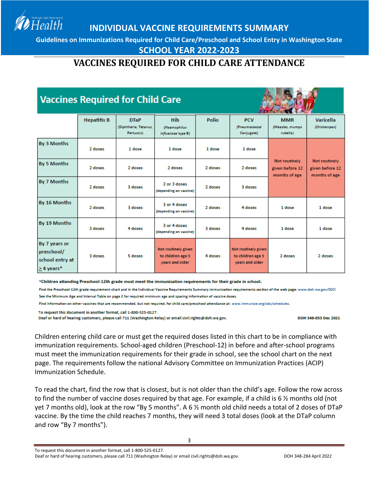<span id="page-2-0"></span>**Guidelines on Immunizations Required for Child Care/Preschool and School Entry in Washington State**

#### **SCHOOL YEAR 2022-2023**

### **VACCINES REQUIRED FOR CHILD CARE ATTENDANCE**

# **Vaccines Required for Child Care**

Health



|                                                                   | <b>Hepatitis B</b> | <b>DTaP</b><br>(Diphtheria, Tetanus,<br>Pertussis) | <b>Hib</b><br>(Haemophilus<br>influenzae type B)            | <b>Polio</b> | <b>PCV</b><br>(Pneumococcal<br>Conjugate)                   | <b>MMR</b><br>(Measles, mumps)<br>rubella)        | Varicella<br>(Chickenpox)                         |
|-------------------------------------------------------------------|--------------------|----------------------------------------------------|-------------------------------------------------------------|--------------|-------------------------------------------------------------|---------------------------------------------------|---------------------------------------------------|
| By 3 Months                                                       | 2 doses            | 1 dose                                             | 1 dose                                                      | 1 dose       | 1 dose                                                      |                                                   |                                                   |
| By 5 Months                                                       | 2 doses            | 2 doses                                            | 2 doses                                                     | 2 doses      | 2 doses                                                     | Not routinely<br>given before 12<br>months of age | Not routinely<br>given before 12<br>months of age |
| By 7 Months                                                       | 2 doses            | 3 doses                                            | 2 or 3 doses<br>(depending on vaccine)                      | 2 doses      | 3 doses                                                     |                                                   |                                                   |
| By 16 Months                                                      | 2 doses            | 3 doses                                            | 3 or 4 doses<br>(depending on vaccine)                      | 2 doses      | 4 doses                                                     | 1 dose                                            | 1 dose                                            |
| By 19 Months                                                      | 3 doses            | 4 doses                                            | 3 or 4 doses<br>(depending on vaccine)                      | 3 doses      | 4 doses                                                     | 1 dose                                            | 1 dose                                            |
| By 7 years or<br>preschool/<br>school entry at<br>$\geq$ 4 years* | 3 doses            | 5 doses                                            | Not routinely given<br>to children age 5<br>vears and older | 4 doses      | Not routinely given<br>to children age 5<br>years and older | 2 doses                                           | 2 doses                                           |

\*Children attending Preschool-12th grade must meet the immunization requirements for their grade in school.

Find the Preschool-12th grade requirement chart and in the Individual Vaccine Requirements Summary immunization requirements section of the web page: www.doh.wa.gov/SCCI See the Minimum Age and Interval Table on page 2 for required minimum age and spacing information of vaccine doses.

Find information on other vaccines that are recommended, but not required, for child care/preschool attendance at: www.immunize.org/cdc/schedules.

To request this document in another format, call 1-800-525-0127.

Deaf or hard of hearing customers, please call 711 (Washington Relay) or email civil.rights@doh.wa.gov.

DOH 348-053 Dec 2021

Children entering child care or must get the required doses listed in this chart to be in compliance with immunization requirements. School-aged children (Preschool-12) in before and after-school programs must meet the immunization requirements for their grade in school, see the school chart on the next page. The requirements follow the national Advisory Committee on Immunization Practices (ACIP) Immunization Schedule.

To read the chart, find the row that is closest, but is not older than the child's age. Follow the row across to find the number of vaccine doses required by that age. For example, if a child is 6 ½ months old (not yet 7 months old), look at the row "By 5 months". A 6 ½ month old child needs a total of 2 doses of DTaP vaccine. By the time the child reaches 7 months, they will need 3 total doses (look at the DTaP column and row "By 7 months").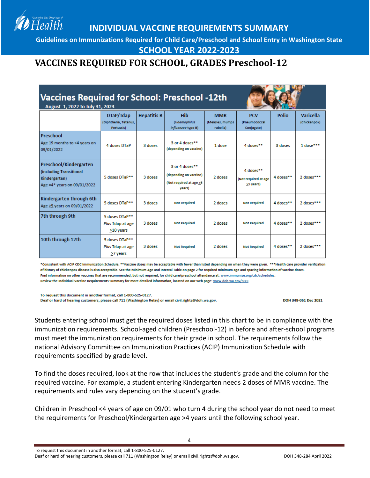**Guidelines on Immunizations Required for Child Care/Preschool and School Entry in Washington State**

**SCHOOL YEAR 2022-2023**

### <span id="page-3-0"></span>**VACCINES REQUIRED FOR SCHOOL, GRADES Preschool-12**

| <b>Vaccines Required for School: Preschool -12th</b><br>August 1, 2022 to July 31, 2023            |                                                 |                    |                                                                               |                             |                                                |           |                  |
|----------------------------------------------------------------------------------------------------|-------------------------------------------------|--------------------|-------------------------------------------------------------------------------|-----------------------------|------------------------------------------------|-----------|------------------|
|                                                                                                    | DTaP/Tdap                                       | <b>Hepatitis B</b> | Hib                                                                           | <b>MMR</b>                  | <b>PCV</b>                                     | Polio     | <b>Varicella</b> |
|                                                                                                    | (Diphtheria, Tetanus,<br>Pertussis)             |                    | <i>(Haemophilus</i><br>influenzae type B)                                     | (Measles, mumps<br>rubella) | <i>(Pneumococcal</i><br>Conjugate)             |           | (Chickenpox)     |
| Preschool<br>Age 19 months to <4 years on<br>09/01/2022                                            | 4 doses DTaP                                    | 3 doses            | 3 or 4 doses**<br>(depending on vaccine)                                      | 1 dose                      | 4 doses**                                      | 3 doses   | 1 dose***        |
| Preschool/Kindergarten<br>(including Transitional<br>Kindergarten)<br>Age = 4* years on 09/01/2022 | 5 doses DTaP**                                  | 3 doses            | 3 or 4 doses**<br>(depending on vaccine)<br>(Not required at age >5<br>vears) | 2 doses                     | 4 doses**<br>(Not required at age<br>>5 years) | 4 doses** | 2 doses***       |
| Kindergarten through 6th<br>Age >5 years on 09/01/2022                                             | 5 doses DTaP**                                  | 3 doses            | <b>Not Required</b>                                                           | 2 doses                     | <b>Not Required</b>                            | 4 doses** | 2 doses***       |
| 7th through 9th                                                                                    | 5 doses DTaP**<br>Plus Tdap at age<br>>10 years | 3 doses            | <b>Not Required</b>                                                           | 2 doses                     | <b>Not Required</b>                            | 4 doses** | 2 doses***       |
| 10th through 12th                                                                                  | 5 doses DTaP**<br>Plus Tdap at age<br>>7 years  | 3 doses            | <b>Not Required</b>                                                           | 2 doses                     | <b>Not Required</b>                            | 4 doses** | 2 doses***       |

\*Consistent with ACIP CDC Immunization Schedule. \*\*Vaccine doses may be acceptable with fewer than listed depending on when they were given. \*\*\*Health care provider verification of history of chickenpox disease is also acceptable. See the Minimum Age and Interval Table on page 2 for required minimum age and spacing information of vaccine doses. Find information on other vaccines that are recommended, but not required, for child care/preschool attendance at: www.immunize.org/cdc/schedules. Review the Individual Vaccine Requirements Summary for more detailed information, located on our web page: www.doh.wa.gov/SCCI

To request this document in another format, call 1-800-525-0127.

Health

Deaf or hard of hearing customers, please call 711 (Washington Relay) or email civil.rights@doh.wa.gov.

DOH 348-051 Dec 2021

Students entering school must get the required doses listed in this chart to be in compliance with the immunization requirements. School-aged children (Preschool-12) in before and after-school programs must meet the immunization requirements for their grade in school. The requirements follow the national Advisory Committee on Immunization Practices (ACIP) Immunization Schedule with requirements specified by grade level.

To find the doses required, look at the row that includes the student's grade and the column for the required vaccine. For example, a student entering Kindergarten needs 2 doses of MMR vaccine. The requirements and rules vary depending on the student's grade.

Children in Preschool <4 years of age on 09/01 who turn 4 during the school year do not need to meet the requirements for Preschool/Kindergarten age  $\geq$ 4 years until the following school year.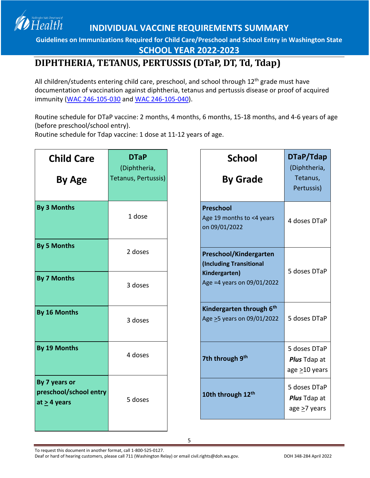**Guidelines on Immunizations Required for Child Care/Preschool and School Entry in Washington State**

**SCHOOL YEAR 2022-2023**

### <span id="page-4-0"></span>**DIPHTHERIA, TETANUS, PERTUSSIS (DTaP, DT, Td, Tdap)**

All children/students entering child care, preschool, and school through 12<sup>th</sup> grade must have documentation of vaccination against diphtheria, tetanus and pertussis disease or proof of acquired immunity [\(WAC 246-105-030](http://apps.leg.wa.gov/WAC/default.aspx?cite=246-105-030) and [WAC 246-105-040\)](https://app.leg.wa.gov/wac/default.aspx?cite=246-105-040).

Routine schedule for DTaP vaccine: 2 months, 4 months, 6 months, 15-18 months, and 4-6 years of age (before preschool/school entry).

Routine schedule for Tdap vaccine: 1 dose at 11-12 years of age.

Health

| <b>Child Care</b><br>By Age                                  | <b>DTaP</b><br>(Diphtheria,<br>Tetanus, Pertussis) | <b>School</b><br><b>By Grade</b>                                                                 | DTaP/Tdap<br>(Diphtheria,<br>Tetanus,<br>Pertussis)       |
|--------------------------------------------------------------|----------------------------------------------------|--------------------------------------------------------------------------------------------------|-----------------------------------------------------------|
| <b>By 3 Months</b>                                           | 1 dose                                             | <b>Preschool</b><br>Age 19 months to <4 years<br>on 09/01/2022                                   | 4 doses DTaP                                              |
| <b>By 5 Months</b><br><b>By 7 Months</b>                     | 2 doses<br>3 doses                                 | Preschool/Kindergarten<br>(Including Transitional<br>Kindergarten)<br>Age =4 years on 09/01/2022 | 5 doses DTaP                                              |
| By 16 Months                                                 | 3 doses                                            | Kindergarten through 6 <sup>th</sup><br>Age >5 years on 09/01/2022                               | 5 doses DTaP                                              |
| By 19 Months                                                 | 4 doses                                            | 7th through 9th                                                                                  | 5 doses DTaP<br><b>Plus Tdap at</b><br>age >10 years      |
| By 7 years or<br>preschool/school entry<br>at $\geq$ 4 years | 5 doses                                            | 10th through 12th                                                                                | 5 doses DTaP<br><b>Plus Tdap at</b><br>age $\geq$ 7 years |

5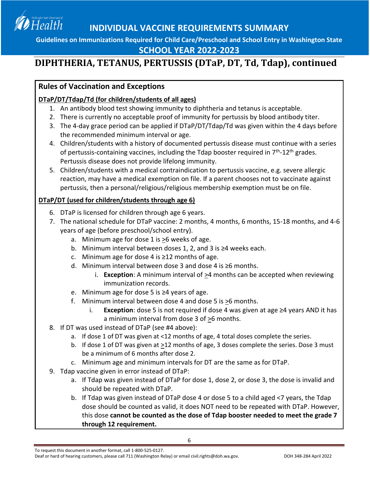

### **SCHOOL YEAR 2022-2023**

## **DIPHTHERIA, TETANUS, PERTUSSIS (DTaP, DT, Td, Tdap), continued**

#### **Rules of Vaccination and Exceptions**

#### **DTaP/DT/Tdap/Td (for children/students of all ages)**

- 1. An antibody blood test showing immunity to diphtheria and tetanus is acceptable.
- 2. There is currently no acceptable proof of immunity for pertussis by blood antibody titer.
- 3. The 4-day grace period can be applied if DTaP/DT/Tdap/Td was given within the 4 days before the recommended minimum interval or age.
- 4. Children/students with a history of documented pertussis disease must continue with a series of pertussis-containing vaccines, including the Tdap booster required in  $7<sup>th</sup>$ -12<sup>th</sup> grades. Pertussis disease does not provide lifelong immunity.
- 5. Children/students with a medical contraindication to pertussis vaccine, e.g. severe allergic reaction, may have a medical exemption on file. If a parent chooses not to vaccinate against pertussis, then a personal/religious/religious membership exemption must be on file.

#### **DTaP/DT (used for children/students through age 6)**

- 6. DTaP is licensed for children through age 6 years.
- 7. The national schedule for DTaP vaccine: 2 months, 4 months, 6 months, 15-18 months, and 4-6 years of age (before preschool/school entry).
	- a. Minimum age for dose 1 is >6 weeks of age.
	- b. Minimum interval between doses 1, 2, and 3 is ≥4 weeks each.
	- c. Minimum age for dose 4 is ≥12 months of age.
	- d. Minimum interval between dose 3 and dose 4 is ≥6 months.
		- i. **Exception**: A minimum interval of  $\geq$ 4 months can be accepted when reviewing immunization records.
	- e. Minimum age for dose 5 is ≥4 years of age.
	- f. Minimum interval between dose 4 and dose 5 is >6 months.
		- i. **Exception**: dose 5 is not required if dose 4 was given at age ≥4 years AND it has a minimum interval from dose 3 of >6 months.
- 8. If DT was used instead of DTaP (see #4 above):
	- a. If dose 1 of DT was given at <12 months of age, 4 total doses complete the series.
	- b. If dose 1 of DT was given at >12 months of age, 3 doses complete the series. Dose 3 must be a minimum of 6 months after dose 2.
	- c. Minimum age and minimum intervals for DT are the same as for DTaP.
- 9. Tdap vaccine given in error instead of DTaP:
	- a. If Tdap was given instead of DTaP for dose 1, dose 2, or dose 3, the dose is invalid and should be repeated with DTaP.
	- b. If Tdap was given instead of DTaP dose 4 or dose 5 to a child aged <7 years, the Tdap dose should be counted as valid, it does NOT need to be repeated with DTaP. However, this dose **cannot be counted as the dose of Tdap booster needed to meet the grade 7 through 12 requirement.**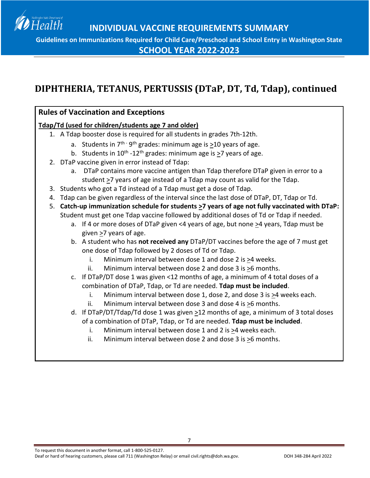Health

**Guidelines on Immunizations Required for Child Care/Preschool and School Entry in Washington State**

**SCHOOL YEAR 2022-2023**

### **DIPHTHERIA, TETANUS, PERTUSSIS (DTaP, DT, Td, Tdap), continued**

#### **Rules of Vaccination and Exceptions**

#### **Tdap/Td (used for children/students age 7 and older)**

- 1. A Tdap booster dose is required for all students in grades 7th-12th.
	- a. Students in  $7^{th}$   $9^{th}$  grades: minimum age is  $\geq$ 10 years of age.
	- b. Students in 10<sup>th</sup> -12<sup>th</sup> grades: minimum age is  $\geq$ 7 years of age.
- 2. DTaP vaccine given in error instead of Tdap:
	- a. DTaP contains more vaccine antigen than Tdap therefore DTaP given in error to a student >7 years of age instead of a Tdap may count as valid for the Tdap.
- 3. Students who got a Td instead of a Tdap must get a dose of Tdap.
- 4. Tdap can be given regardless of the interval since the last dose of DTaP, DT, Tdap or Td.
- 5. **Catch-up immunization schedule for students >7 years of age not fully vaccinated with DTaP:** Student must get one Tdap vaccine followed by additional doses of Td or Tdap if needed.
	- a. If 4 or more doses of DTaP given <4 years of age, but none  $\geq$ 4 years, Tdap must be given >7 years of age.
	- b. A student who has **not received any** DTaP/DT vaccines before the age of 7 must get one dose of Tdap followed by 2 doses of Td or Tdap.
		- i. Minimum interval between dose 1 and dose 2 is >4 weeks.
		- ii. Minimum interval between dose 2 and dose 3 is >6 months.
	- c. If DTaP/DT dose 1 was given <12 months of age, a minimum of 4 total doses of a combination of DTaP, Tdap, or Td are needed. **Tdap must be included**.
		- i. Minimum interval between dose 1, dose 2, and dose 3 is >4 weeks each.
		- ii. Minimum interval between dose 3 and dose 4 is >6 months.
	- d. If DTaP/DT/Tdap/Td dose 1 was given  $\geq$ 12 months of age, a minimum of 3 total doses of a combination of DTaP, Tdap, or Td are needed. **Tdap must be included**.
		- i. Minimum interval between dose 1 and 2 is >4 weeks each.
		- ii. Minimum interval between dose 2 and dose 3 is >6 months.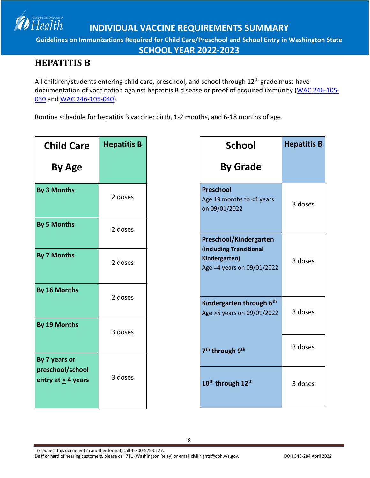

**SCHOOL YEAR 2022-2023**

### <span id="page-7-0"></span>**HEPATITIS B**

Health

All children/students entering child care, preschool, and school through 12<sup>th</sup> grade must have documentation of vaccination against hepatitis B disease or proof of acquired immunity [\(WAC 246-105-](http://apps.leg.wa.gov/WAC/default.aspx?cite=246-105-030) [030](http://apps.leg.wa.gov/WAC/default.aspx?cite=246-105-030) an[d WAC 246-105-040\)](https://app.leg.wa.gov/wac/default.aspx?cite=246-105-040).

Routine schedule for hepatitis B vaccine: birth, 1-2 months, and 6-18 months of age.

| <b>Child Care</b>                 | <b>Hepatitis B</b> | <b>School</b>                                                          | <b>Hepatitis B</b> |
|-----------------------------------|--------------------|------------------------------------------------------------------------|--------------------|
| <b>By Age</b>                     |                    | <b>By Grade</b>                                                        |                    |
| By 3 Months                       | 2 doses            | <b>Preschool</b><br>Age 19 months to <4 years<br>on 09/01/2022         | 3 doses            |
| <b>By 5 Months</b>                | 2 doses            | Preschool/Kindergarten                                                 |                    |
| <b>By 7 Months</b>                | 2 doses            | (Including Transitional<br>Kindergarten)<br>Age =4 years on 09/01/2022 | 3 doses            |
| By 16 Months                      | 2 doses            | Kindergarten through 6th<br>Age > 5 years on 09/01/2022                | 3 doses            |
| By 19 Months                      | 3 doses            | 7 <sup>th</sup> through 9 <sup>th</sup>                                | 3 doses            |
| By 7 years or<br>preschool/school |                    |                                                                        |                    |
| entry at $\geq$ 4 years           | 3 doses            | 10 <sup>th</sup> through 12 <sup>th</sup>                              | 3 doses            |

8

To request this document in another format, call 1-800-525-0127.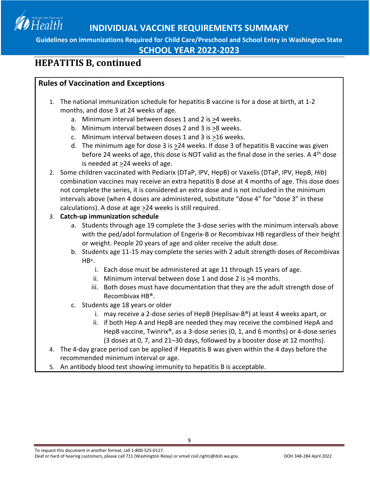

**SCHOOL YEAR 2022-2023**

### **HEPATITIS B, continued**

#### **Rules of Vaccination and Exceptions**

- 1. The national immunization schedule for hepatitis B vaccine is for a dose at birth, at 1-2 months, and dose 3 at 24 weeks of age.
	- a. Minimum interval between doses 1 and 2 is >4 weeks.
	- b. Minimum interval between doses 2 and 3 is >8 weeks.
	- c. Minimum interval between doses 1 and 3 is >16 weeks.
	- d. The minimum age for dose 3 is >24 weeks. If dose 3 of hepatitis B vaccine was given before 24 weeks of age, this dose is NOT valid as the final dose in the series. A  $4<sup>th</sup>$  dose is needed at  $\geq$ 24 weeks of age.
- 2. Some children vaccinated with Pediarix (DTaP, IPV, HepB) or Vaxelis (DTaP, IPV, HepB, *Hib*) combination vaccines may receive an extra hepatitis B dose at 4 months of age. This dose does not complete the series, it is considered an extra dose and is not included in the minimum intervals above (when 4 doses are administered, substitute "dose 4" for "dose 3" in these calculations). A dose at age  $\geq$  24 weeks is still required.

#### 3. **Catch-up immunization schedule**

- a. Students through age 19 complete the 3-dose series with the minimum intervals above with the ped/adol formulation of Engerix-B or Recombivax HB regardless of their height or weight. People 20 years of age and older receive the adult dose.
- b. Students age 11-15 may complete the series with 2 adult strength doses of Recombivax HB®.
	- i. Each dose must be administered at age 11 through 15 years of age.
	- ii. Minimum interval between dose 1 and dose 2 is >4 months.
	- iii. Both doses must have documentation that they are the adult strength dose of Recombivax HB®.
- c. Students age 18 years or older
	- i. may receive a 2-dose series of HepB (Heplisav-B®) at least 4 weeks apart, or
	- ii. if both Hep A and HepB are needed they may receive the combined HepA and HepB vaccine, Twinrix®, as a 3-dose series (0, 1, and 6 months) or 4-dose series (3 doses at 0, 7, and 21–30 days, followed by a booster dose at 12 months).
- 4. The 4-day grace period can be applied if Hepatitis B was given within the 4 days before the recommended minimum interval or age.

9

5. An antibody blood test showing immunity to hepatitis B is acceptable.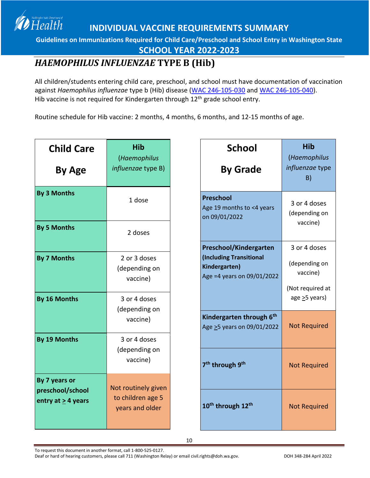**Guidelines on Immunizations Required for Child Care/Preschool and School Entry in Washington State**

**SCHOOL YEAR 2022-2023**

### <span id="page-9-0"></span>*HAEMOPHILUS INFLUENZAE* **TYPE B (Hib)**

Health

All children/students entering child care, preschool, and school must have documentation of vaccination against *Haemophilus influenzae* type b (Hib) disease [\(WAC 246-105-030](http://apps.leg.wa.gov/WAC/default.aspx?cite=246-105-030) and WAC [246-105-040\)](https://app.leg.wa.gov/wac/default.aspx?cite=246-105-040). Hib vaccine is not required for Kindergarten through 12<sup>th</sup> grade school entry.

Routine schedule for Hib vaccine: 2 months, 4 months, 6 months, and 12-15 months of age.

| <b>Child Care</b><br><b>By Age</b>        | <b>Hib</b><br>(Haemophilus<br>influenzae type B) | <b>School</b><br><b>By Grade</b>                                       | <b>Hib</b><br>(Haemophilus<br>influenzae type<br>B) |
|-------------------------------------------|--------------------------------------------------|------------------------------------------------------------------------|-----------------------------------------------------|
| By 3 Months                               | 1 dose                                           | <b>Preschool</b><br>Age 19 months to <4 years<br>on 09/01/2022         | 3 or 4 doses<br>(depending on<br>vaccine)           |
| <b>By 5 Months</b>                        | 2 doses                                          | Preschool/Kindergarten                                                 | 3 or 4 doses                                        |
| <b>By 7 Months</b>                        | 2 or 3 doses<br>(depending on<br>vaccine)        | (Including Transitional<br>Kindergarten)<br>Age =4 years on 09/01/2022 | (depending on<br>vaccine)<br>(Not required at       |
| By 16 Months<br>(depending on<br>vaccine) | 3 or 4 doses                                     |                                                                        | age $\geq$ 5 years)                                 |
|                                           |                                                  | Kindergarten through 6th<br>Age > 5 years on 09/01/2022                | <b>Not Required</b>                                 |
| By 19 Months                              | 3 or 4 doses                                     |                                                                        |                                                     |
|                                           | (depending on<br>vaccine)                        | 7 <sup>th</sup> through 9 <sup>th</sup>                                | <b>Not Required</b>                                 |
| By 7 years or                             | Not routinely given                              |                                                                        |                                                     |
| preschool/school<br>entry at $>$ 4 years  | to children age 5<br>years and older             | 10 <sup>th</sup> through 12 <sup>th</sup>                              | <b>Not Required</b>                                 |

To request this document in another format, call 1-800-525-0127.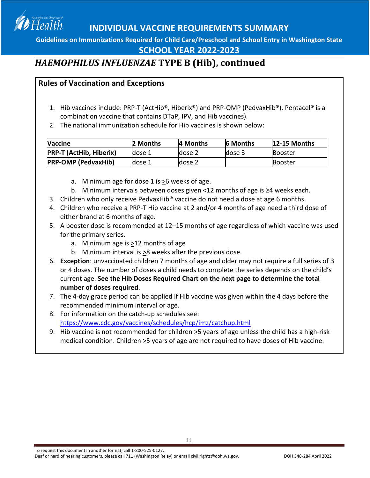**Guidelines on Immunizations Required for Child Care/Preschool and School Entry in Washington State**

#### **SCHOOL YEAR 2022-2023**

### *HAEMOPHILUS INFLUENZAE* **TYPE B (Hib), continued**

#### **Rules of Vaccination and Exceptions**

Health

- 1. Hib vaccines include: PRP-T (ActHib®, Hiberix®) and PRP-OMP (PedvaxHib®). Pentacel® is a combination vaccine that contains DTaP, IPV, and Hib vaccines).
- 2. The national immunization schedule for Hib vaccines is shown below:

| <b>Naccine</b>                 | 2 Months | 4 Months | <b>6 Months</b> | 12-15 Months   |
|--------------------------------|----------|----------|-----------------|----------------|
| <b>PRP-T (ActHib, Hiberix)</b> | dose 1   | dose 2   | dose 3          | Booster        |
| <b>PRP-OMP (PedvaxHib)</b>     | dose 1   | dose 2   |                 | <b>Booster</b> |

- a. Minimum age for dose 1 is  $\geq$ 6 weeks of age.
- b. Minimum intervals between doses given <12 months of age is ≥4 weeks each.
- 3. Children who only receive PedvaxHib® vaccine do not need a dose at age 6 months.
- 4. Children who receive a PRP-T Hib vaccine at 2 and/or 4 months of age need a third dose of either brand at 6 months of age.
- 5. A booster dose is recommended at 12–15 months of age regardless of which vaccine was used for the primary series.
	- a. Minimum age is >12 months of age
	- b. Minimum interval is  $\geq 8$  weeks after the previous dose.
- 6. **Exception**: unvaccinated children 7 months of age and older may not require a full series of 3 or 4 doses. The number of doses a child needs to complete the series depends on the child's current age. **See the Hib Doses Required Chart on the next page to determine the total number of doses required**.
- 7. The 4-day grace period can be applied if Hib vaccine was given within the 4 days before the recommended minimum interval or age.
- 8. For information on the catch-up schedules see: <https://www.cdc.gov/vaccines/schedules/hcp/imz/catchup.html>
- 9. Hib vaccine is not recommended for children  $\geq$ 5 years of age unless the child has a high-risk medical condition. Children  $\geq$ 5 years of age are not required to have doses of Hib vaccine.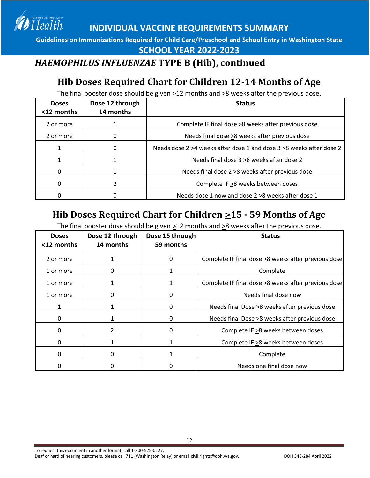**Guidelines on Immunizations Required for Child Care/Preschool and School Entry in Washington State**

**SCHOOL YEAR 2022-2023**

### *HAEMOPHILUS INFLUENZAE* **TYPE B (Hib), continued**

Health

### **Hib Doses Required Chart for Children 12-14 Months of Age**

The final booster dose should be given >12 months and >8 weeks after the previous dose.

| <b>Doses</b><br><12 months | Dose 12 through<br>14 months | <b>Status</b>                                                       |
|----------------------------|------------------------------|---------------------------------------------------------------------|
| 2 or more                  |                              | Complete IF final dose >8 weeks after previous dose                 |
| 2 or more                  | 0                            | Needs final dose >8 weeks after previous dose                       |
|                            |                              | Needs dose 2 >4 weeks after dose 1 and dose 3 >8 weeks after dose 2 |
|                            |                              | Needs final dose 3 > 8 weeks after dose 2                           |
| 0                          |                              | Needs final dose 2 > 8 weeks after previous dose                    |
| 0                          |                              | Complete IF >8 weeks between doses                                  |
|                            |                              | Needs dose 1 now and dose 2 > 8 weeks after dose 1                  |

### **Hib Doses Required Chart for Children >15 - 59 Months of Age**

<span id="page-11-0"></span>The final booster dose should be given >12 months and >8 weeks after the previous dose.

| <b>Doses</b><br><12 months | Dose 12 through<br>14 months | Dose 15 through<br>59 months | <b>Status</b>                                       |
|----------------------------|------------------------------|------------------------------|-----------------------------------------------------|
| 2 or more                  |                              | 0                            | Complete IF final dose >8 weeks after previous dose |
| 1 or more                  | 0                            |                              | Complete                                            |
| 1 or more                  |                              |                              | Complete IF final dose >8 weeks after previous dose |
| 1 or more                  | 0                            | O                            | Needs final dose now                                |
|                            |                              | 0                            | Needs final Dose >8 weeks after previous dose       |
| 0                          |                              | O                            | Needs final Dose >8 weeks after previous dose       |
| 0                          |                              | O                            | Complete IF >8 weeks between doses                  |
| 0                          |                              |                              | Complete IF >8 weeks between doses                  |
| 0                          | 0                            |                              | Complete                                            |
|                            |                              |                              | Needs one final dose now                            |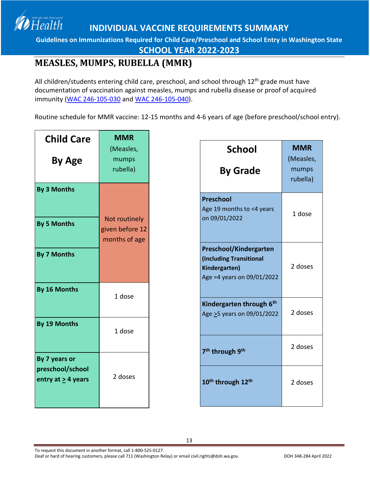**Guidelines on Immunizations Required for Child Care/Preschool and School Entry in Washington State**

**SCHOOL YEAR 2022-2023**

### <span id="page-12-0"></span>**MEASLES, MUMPS, RUBELLA (MMR)**

Health

All children/students entering child care, preschool, and school through 12<sup>th</sup> grade must have documentation of vaccination against measles, mumps and rubella disease or proof of acquired immunity [\(WAC 246-105-030](http://apps.leg.wa.gov/WAC/default.aspx?cite=246-105-030) and [WAC 246-105-040\)](https://app.leg.wa.gov/wac/default.aspx?cite=246-105-040).

Routine schedule for MMR vaccine: 12-15 months and 4-6 years of age (before preschool/school entry).

| <b>Child Care</b>                        | <b>MMR</b>                                        |                                                                                                  |                                              |
|------------------------------------------|---------------------------------------------------|--------------------------------------------------------------------------------------------------|----------------------------------------------|
| <b>By Age</b>                            | (Measles,<br>mumps<br>rubella)                    | <b>School</b><br><b>By Grade</b>                                                                 | <b>MMR</b><br>(Measles,<br>mumps<br>rubella) |
| <b>By 3 Months</b><br><b>By 5 Months</b> | Not routinely<br>given before 12<br>months of age | <b>Preschool</b><br>Age 19 months to <4 years<br>on 09/01/2022                                   | 1 dose                                       |
| <b>By 7 Months</b><br>By 16 Months       |                                                   | Preschool/Kindergarten<br>(Including Transitional<br>Kindergarten)<br>Age =4 years on 09/01/2022 | 2 doses                                      |
| By 19 Months                             | 1 dose<br>1 dose                                  | Kindergarten through 6 <sup>th</sup><br>Age >5 years on 09/01/2022                               | 2 doses                                      |
| By 7 years or                            |                                                   | 7 <sup>th</sup> through 9 <sup>th</sup>                                                          | 2 doses                                      |
| preschool/school<br>entry at $>$ 4 years | 2 doses                                           | 10 <sup>th</sup> through 12 <sup>th</sup>                                                        | 2 doses                                      |

To request this document in another format, call 1-800-525-0127. Deaf or hard of hearing customers, please call 711 (Washington Relay) or email civil.rights@doh.wa.gov. DOH 348-284 April 2022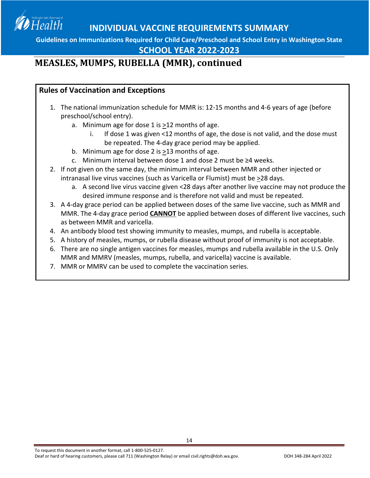**Guidelines on Immunizations Required for Child Care/Preschool and School Entry in Washington State**

#### **SCHOOL YEAR 2022-2023**

### **MEASLES, MUMPS, RUBELLA (MMR), continued**

#### **Rules of Vaccination and Exceptions**

Health

- 1. The national immunization schedule for MMR is: 12-15 months and 4-6 years of age (before preschool/school entry).
	- a. Minimum age for dose 1 is >12 months of age.
		- If dose 1 was given <12 months of age, the dose is not valid, and the dose must be repeated. The 4-day grace period may be applied.
	- b. Minimum age for dose 2 is  $\geq$ 13 months of age.
	- c. Minimum interval between dose 1 and dose 2 must be ≥4 weeks.
- 2. If not given on the same day, the minimum interval between MMR and other injected or intranasal live virus vaccines (such as Varicella or Flumist) must be >28 days.
	- a. A second live virus vaccine given <28 days after another live vaccine may not produce the desired immune response and is therefore not valid and must be repeated.
- 3. A 4-day grace period can be applied between doses of the same live vaccine, such as MMR and MMR. The 4-day grace period **CANNOT** be applied between doses of different live vaccines, such as between MMR and varicella.
- 4. An antibody blood test showing immunity to measles, mumps, and rubella is acceptable.
- 5. A history of measles, mumps, or rubella disease without proof of immunity is not acceptable.
- 6. There are no single antigen vaccines for measles, mumps and rubella available in the U.S. Only MMR and MMRV (measles, mumps, rubella, and varicella) vaccine is available.

14

7. MMR or MMRV can be used to complete the vaccination series.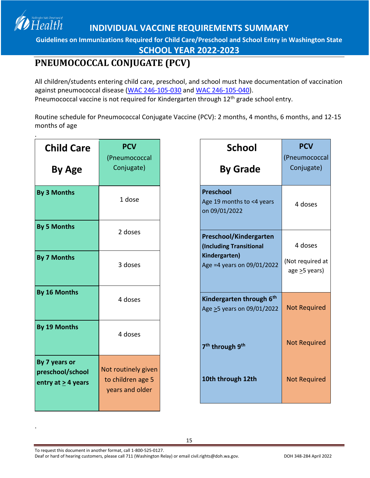**Guidelines on Immunizations Required for Child Care/Preschool and School Entry in Washington State**

**SCHOOL YEAR 2022-2023**

## <span id="page-14-0"></span>**PNEUMOCOCCAL CONJUGATE (PCV)**

Health

All children/students entering child care, preschool, and school must have documentation of vaccination against pneumococcal disease [\(WAC 246-105-030](http://apps.leg.wa.gov/WAC/default.aspx?cite=246-105-030) and [WAC 246-105-040\)](https://app.leg.wa.gov/wac/default.aspx?cite=246-105-040). Pneumococcal vaccine is not required for Kindergarten through 12<sup>th</sup> grade school entry.

Routine schedule for Pneumococcal Conjugate Vaccine (PCV): 2 months, 4 months, 6 months, and 12-15 months of age

| <b>Child Care</b>                                       | <b>PCV</b><br>(Pneumococcal                                 |
|---------------------------------------------------------|-------------------------------------------------------------|
| <b>By Age</b>                                           | Conjugate)                                                  |
| By 3 Months                                             | 1 dose                                                      |
| <b>By 5 Months</b>                                      | 2 doses                                                     |
| <b>By 7 Months</b>                                      | 3 doses                                                     |
| By 16 Months                                            | 4 doses                                                     |
| By 19 Months                                            | 4 doses                                                     |
| By 7 years or<br>preschool/school<br>entry at > 4 years | Not routinely given<br>to children age 5<br>years and older |

To request this document in another format, call 1-800-525-0127.

.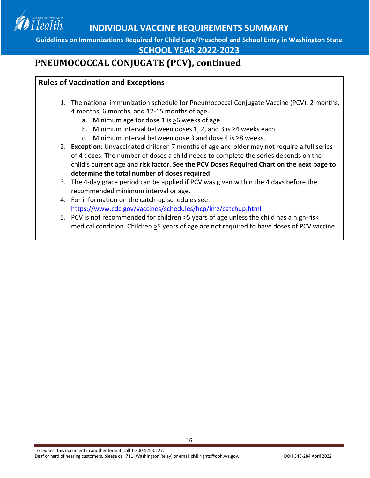

#### **SCHOOL YEAR 2022-2023**

### **PNEUMOCOCCAL CONJUGATE (PCV), continued**

#### **Rules of Vaccination and Exceptions**

- 1. The national immunization schedule for Pneumococcal Conjugate Vaccine (PCV): 2 months, 4 months, 6 months, and 12-15 months of age.
	- a. Minimum age for dose 1 is >6 weeks of age.
	- b. Minimum interval between doses 1, 2, and 3 is ≥4 weeks each.
	- c. Minimum interval between dose 3 and dose 4 is ≥8 weeks.
- 2. **Exception**: Unvaccinated children 7 months of age and older may not require a full series of 4 doses. The number of doses a child needs to complete the series depends on the child's current age and risk factor. **See the PCV Doses Required Chart on the next page to determine the total number of doses required**.
- 3. The 4-day grace period can be applied if PCV was given within the 4 days before the recommended minimum interval or age.

- 4. For information on the catch-up schedules see: <https://www.cdc.gov/vaccines/schedules/hcp/imz/catchup.html>
- 5. PCV is not recommended for children >5 years of age unless the child has a high-risk medical condition. Children >5 years of age are not required to have doses of PCV vaccine.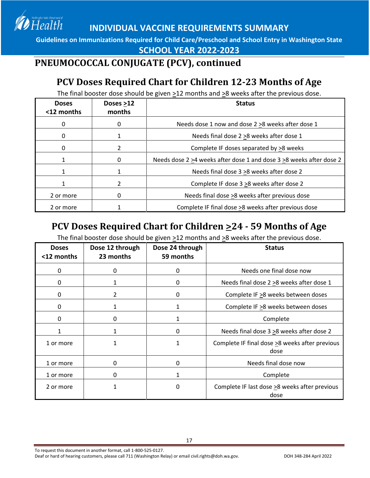Health

**INDIVIDUAL VACCINE REQUIREMENTS SUMMARY**

**Guidelines on Immunizations Required for Child Care/Preschool and School Entry in Washington State**

**SCHOOL YEAR 2022-2023**

## **PNEUMOCOCCAL CONJUGATE (PCV), continued**

# **PCV Doses Required Chart for Children 12-23 Months of Age**

The final booster dose should be given >12 months and >8 weeks after the previous dose.

| <b>Doses</b><br><12 months | Doses >12<br>months | <b>Status</b>                                                                   |
|----------------------------|---------------------|---------------------------------------------------------------------------------|
| 0                          | 0                   | Needs dose 1 now and dose 2 > 8 weeks after dose 1                              |
| 0                          | 1                   | Needs final dose 2 > 8 weeks after dose 1                                       |
| 0                          | 2                   | Complete IF doses separated by >8 weeks                                         |
|                            | 0                   | Needs dose 2 $\geq$ 4 weeks after dose 1 and dose 3 $\geq$ 8 weeks after dose 2 |
|                            | 1                   | Needs final dose 3 > 8 weeks after dose 2                                       |
|                            | 2                   | Complete IF dose 3 >8 weeks after dose 2                                        |
| 2 or more                  | 0                   | Needs final dose >8 weeks after previous dose                                   |
| 2 or more                  |                     | Complete IF final dose >8 weeks after previous dose                             |

## **PCV Doses Required Chart for Children >24 - 59 Months of Age**

<span id="page-16-0"></span>The final booster dose should be given  $\geq$ 12 months and  $\geq$ 8 weeks after the previous dose.

| <b>Doses</b><br><12 months | Dose 12 through<br>23 months | Dose 24 through<br>59 months | <b>Status</b>                                          |
|----------------------------|------------------------------|------------------------------|--------------------------------------------------------|
| 0                          | 0                            | 0                            | Needs one final dose now                               |
| 0                          |                              | 0                            | Needs final dose 2 > 8 weeks after dose 1              |
| 0                          | $\overline{2}$               | 0                            | Complete IF > 8 weeks between doses                    |
| 0                          |                              | 1                            | Complete IF >8 weeks between doses                     |
| 0                          | 0                            | 1                            | Complete                                               |
| 1                          | 1                            | 0                            | Needs final dose 3 > 8 weeks after dose 2              |
| 1 or more                  | 1                            | 1                            | Complete IF final dose >8 weeks after previous<br>dose |
| 1 or more                  | 0                            | 0                            | Needs final dose now                                   |
| 1 or more                  | 0                            | 1                            | Complete                                               |
| 2 or more                  |                              | 0                            | Complete IF last dose >8 weeks after previous<br>dose  |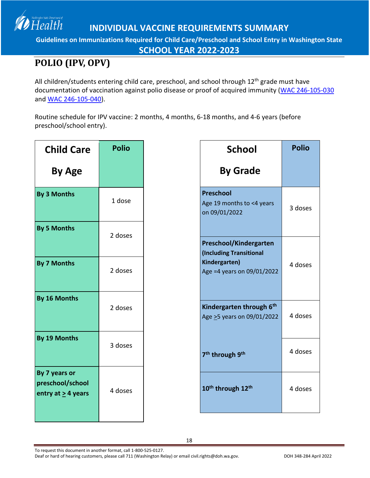**Guidelines on Immunizations Required for Child Care/Preschool and School Entry in Washington State**

**SCHOOL YEAR 2022-2023**

# <span id="page-17-0"></span>**POLIO (IPV, OPV)**

Health

All children/students entering child care, preschool, and school through 12<sup>th</sup> grade must have documentation of vaccination against polio disease or proof of acquired immunity [\(WAC 246-105-030](http://apps.leg.wa.gov/WAC/default.aspx?cite=246-105-030) an[d WAC 246-105-040\)](https://app.leg.wa.gov/wac/default.aspx?cite=246-105-040).

Routine schedule for IPV vaccine: 2 months, 4 months, 6-18 months, and 4-6 years (before preschool/school entry).

| <b>Child Care</b>                                            | <b>Polio</b> |                                           |
|--------------------------------------------------------------|--------------|-------------------------------------------|
| By Age                                                       |              |                                           |
| <b>By 3 Months</b>                                           | 1 dose       | P<br>$\overline{A}$<br>$\mathbf{o}$       |
| <b>By 5 Months</b>                                           | 2 doses      | P<br>$\overline{(\mathsf{I})}$            |
| <b>By 7 Months</b>                                           | 2 doses      | K<br>$\overline{A}$                       |
| By 16 Months                                                 | 2 doses      | $\overline{\mathsf{K}}$<br>$\overline{A}$ |
| By 19 Months                                                 | 3 doses      | $\overline{7}$                            |
| By 7 years or<br>preschool/school<br>entry at $\geq$ 4 years | 4 doses      | $\overline{\mathbf{1}}$                   |

| School                                                                                                          | <b>Polio</b> |
|-----------------------------------------------------------------------------------------------------------------|--------------|
| <b>By Grade</b>                                                                                                 |              |
| <b>Preschool</b><br>Age 19 months to <4 years<br>on 09/01/2022                                                  | 3 doses      |
| <b>Preschool/Kindergarten</b><br><b>(Including Transitional</b><br>Kindergarten)<br>Age = 4 years on 09/01/2022 | 4 doses      |
| Kindergarten through 6 <sup>th</sup><br>Age > 5 years on 09/01/2022                                             | 4 doses      |
| 7 <sup>th</sup> through 9 <sup>th</sup>                                                                         | 4 doses      |
| 10 <sup>th</sup> through 12 <sup>th</sup>                                                                       | 4 doses      |

To request this document in another format, call 1-800-525-0127.

Deaf or hard of hearing customers, please call 711 (Washington Relay) or email civil.rights@doh.wa.gov. DOH 348-284 April 2022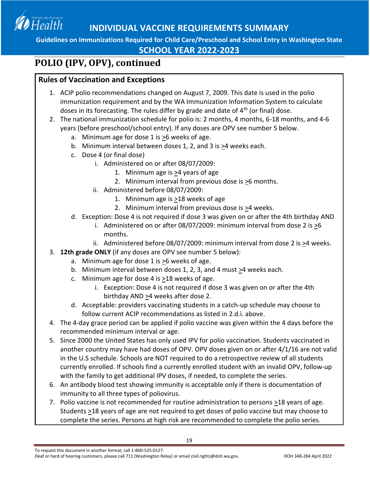

#### **SCHOOL YEAR 2022-2023**

### **POLIO (IPV, OPV), continued**

#### **Rules of Vaccination and Exceptions**

- 1. ACIP polio recommendations changed on August 7, 2009. This date is used in the polio immunization requirement and by the WA Immunization Information System to calculate doses in its forecasting. The rules differ by grade and date of  $4<sup>th</sup>$  (or final) dose.
- 2. The national immunization schedule for polio is: 2 months, 4 months, 6-18 months, and 4-6 years (before preschool/school entry). If any doses are OPV see number 5 below.
	- a. Minimum age for dose 1 is >6 weeks of age.
	- b. Minimum interval between doses 1, 2, and 3 is  $\geq$ 4 weeks each.
	- c. Dose 4 (or final dose)
		- i. Administered on or after 08/07/2009:
			- 1. Minimum age is  $\geq 4$  years of age
			- 2. Minimum interval from previous dose is  $\geq 6$  months.
		- ii. Administered before 08/07/2009:
			- 1. Minimum age is  $\geq$ 18 weeks of age
			- 2. Minimum interval from previous dose is >4 weeks.
	- d. Exception: Dose 4 is not required if dose 3 was given on or after the 4th birthday AND
		- i. Administered on or after 08/07/2009: minimum interval from dose 2 is  $\geq 6$ months.
		- ii. Administered before 08/07/2009: minimum interval from dose 2 is >4 weeks.
- 3. **12th grade ONLY** (if any doses are OPV see number 5 below):
	- a. Minimum age for dose 1 is >6 weeks of age.
	- b. Minimum interval between doses 1, 2, 3, and 4 must  $\geq 4$  weeks each.
	- c. Minimum age for dose 4 is  $\geq$ 18 weeks of age.
		- i. Exception: Dose 4 is not required if dose 3 was given on or after the 4th birthday AND >4 weeks after dose 2.
	- d. Acceptable: providers vaccinating students in a catch-up schedule may choose to follow current ACIP recommendations as listed in 2.d.i. above.
- 4. The 4-day grace period can be applied if polio vaccine was given within the 4 days before the recommended minimum interval or age.
- 5. Since 2000 the United States has only used IPV for polio vaccination. Students vaccinated in another country may have had doses of OPV. OPV doses given on or after 4/1/16 are not valid in the U.S schedule. Schools are NOT required to do a retrospective review of all students currently enrolled. If schools find a currently enrolled student with an invalid OPV, follow-up with the family to get additional IPV doses, if needed, to complete the series.
- 6. An antibody blood test showing immunity is acceptable only if there is documentation of immunity to all three types of poliovirus.
- 7. Polio vaccine is not recommended for routine administration to persons >18 years of age. Students  $\geq$ 18 years of age are not required to get doses of polio vaccine but may choose to complete the series. Persons at high risk are recommended to complete the polio series.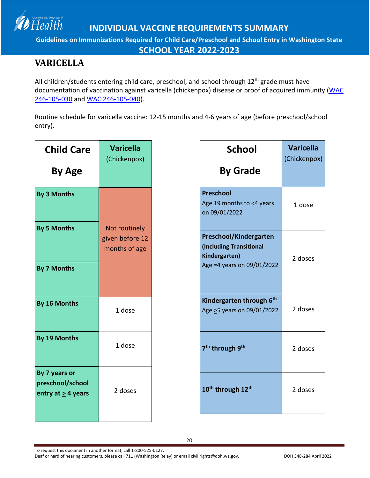

**Guidelines on Immunizations Required for Child Care/Preschool and School Entry in Washington State**

**SCHOOL YEAR 2022-2023**

## <span id="page-19-0"></span>**VARICELLA**

All children/students entering child care, preschool, and school through 12<sup>th</sup> grade must have documentation of vaccination against varicella (chickenpox) disease or proof of acquired immunity (WAC [246-105-030](http://apps.leg.wa.gov/WAC/default.aspx?cite=246-105-030) and [WAC 246-105-040\)](https://app.leg.wa.gov/wac/default.aspx?cite=246-105-040).

Routine schedule for varicella vaccine: 12-15 months and 4-6 years of age (before preschool/school entry).

| <b>Child Care</b><br>By Age                                  | <b>Varicella</b><br>(Chickenpox)                  |
|--------------------------------------------------------------|---------------------------------------------------|
| <b>By 3 Months</b>                                           |                                                   |
| <b>By 5 Months</b><br><b>By 7 Months</b>                     | Not routinely<br>given before 12<br>months of age |
| By 16 Months                                                 | 1 dose                                            |
| By 19 Months                                                 | 1 dose                                            |
| By 7 years or<br>preschool/school<br>entry at $\geq$ 4 years | 2 doses                                           |

To request this document in another format, call 1-800-525-0127.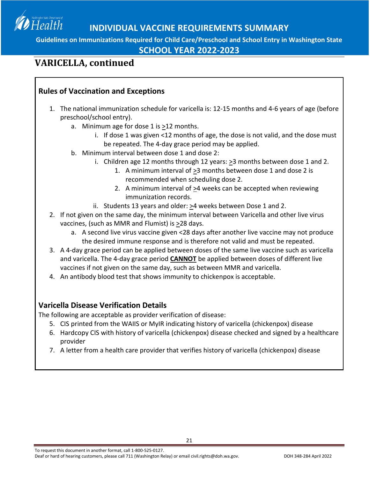

**SCHOOL YEAR 2022-2023**

### **VARICELLA, continued**

#### **Rules of Vaccination and Exceptions**

- 1. The national immunization schedule for varicella is: 12-15 months and 4-6 years of age (before preschool/school entry).
	- a. Minimum age for dose 1 is >12 months.
		- i. If dose 1 was given <12 months of age, the dose is not valid, and the dose must be repeated. The 4-day grace period may be applied.
	- b. Minimum interval between dose 1 and dose 2:
		- i. Children age 12 months through 12 years: >3 months between dose 1 and 2.
			- 1. A minimum interval of  $\geq$ 3 months between dose 1 and dose 2 is recommended when scheduling dose 2.
			- 2. A minimum interval of  $\geq 4$  weeks can be accepted when reviewing immunization records.
		- ii. Students 13 years and older:  $\geq 4$  weeks between Dose 1 and 2.
- 2. If not given on the same day, the minimum interval between Varicella and other live virus vaccines, (such as MMR and Flumist) is >28 days.
	- a. A second live virus vaccine given <28 days after another live vaccine may not produce the desired immune response and is therefore not valid and must be repeated.
- 3. A 4-day grace period can be applied between doses of the same live vaccine such as varicella and varicella. The 4-day grace period **CANNOT** be applied between doses of different live vaccines if not given on the same day, such as between MMR and varicella.
- 4. An antibody blood test that shows immunity to chickenpox is acceptable.

#### **Varicella Disease Verification Details**

The following are acceptable as provider verification of disease:

- 5. CIS printed from the WAIIS or MyIR indicating history of varicella (chickenpox) disease
- 6. Hardcopy CIS with history of varicella (chickenpox) disease checked and signed by a healthcare provider
- 7. A letter from a health care provider that verifies history of varicella (chickenpox) disease